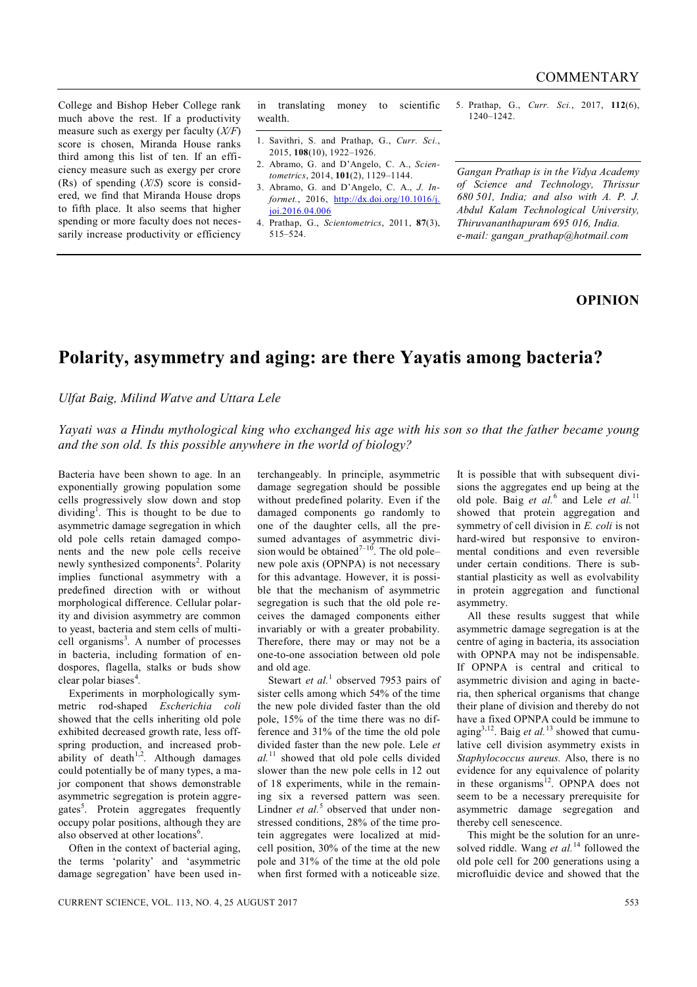College and Bishop Heber College rank much above the rest. If a productivity measure such as exergy per faculty (*X/F*) score is chosen, Miranda House ranks third among this list of ten. If an efficiency measure such as exergy per crore (Rs) of spending (*X*/*S*) score is considered, we find that Miranda House drops to fifth place. It also seems that higher spending or more faculty does not necessarily increase productivity or efficiency in translating money to scientific wealth.

- 1. Savithri, S. and Prathap, G., *Curr. Sci.*, 2015, **108**(10), 1922–1926.
- 2. Abramo, G. and D'Angelo, C. A., *Scientometrics*, 2014, **101**(2), 1129–1144.
- 3. Abramo, G. and D'Angelo, C. A., *J. Informet.*, 2016, http://dx.doi.org/10.1016/j. joi.2016.04.006
- 4. Prathap, G., *Scientometrics*, 2011, **87**(3), 515–524.

5. Prathap, G., *Curr. Sci.*, 2017, **112**(6), 1240–1242.

*Gangan Prathap is in the Vidya Academy of Science and Technology, Thrissur 680 501, India; and also with A. P. J. Abdul Kalam Technological University, Thiruvananthapuram 695 016, India. e-mail: gangan\_prathap@hotmail.com*

## **OPINION**

## **Polarity, asymmetry and aging: are there Yayatis among bacteria?**

*Ulfat Baig, Milind Watve and Uttara Lele*

*Yayati was a Hindu mythological king who exchanged his age with his son so that the father became young and the son old. Is this possible anywhere in the world of biology?* 

Bacteria have been shown to age. In an exponentially growing population some cells progressively slow down and stop dividing<sup>1</sup>. This is thought to be due to asymmetric damage segregation in which old pole cells retain damaged components and the new pole cells receive newly synthesized components<sup>2</sup>. Polarity implies functional asymmetry with a predefined direction with or without morphological difference. Cellular polarity and division asymmetry are common to yeast, bacteria and stem cells of multicell organisms<sup>3</sup>. A number of processes in bacteria, including formation of endospores, flagella, stalks or buds show clear polar biases<sup>4</sup>.

Experiments in morphologically symmetric rod-shaped *Escherichia coli* showed that the cells inheriting old pole exhibited decreased growth rate, less offspring production, and increased probability of death<sup>1,2</sup>. Although damages could potentially be of many types, a major component that shows demonstrable asymmetric segregation is protein aggregates<sup>5</sup>. Protein aggregates frequently occupy polar positions, although they are also observed at other locations<sup>6</sup>.

Often in the context of bacterial aging, the terms 'polarity' and 'asymmetric damage segregation' have been used interchangeably. In principle, asymmetric damage segregation should be possible without predefined polarity. Even if the damaged components go randomly to one of the daughter cells, all the presumed advantages of asymmetric division would be obtained<sup> $7-10$ </sup>. The old pole– new pole axis (OPNPA) is not necessary for this advantage. However, it is possible that the mechanism of asymmetric segregation is such that the old pole receives the damaged components either invariably or with a greater probability. Therefore, there may or may not be a one-to-one association between old pole and old age.

Stewart *et al.*<sup>1</sup> observed 7953 pairs of sister cells among which 54% of the time the new pole divided faster than the old pole, 15% of the time there was no difference and 31% of the time the old pole divided faster than the new pole. Lele *et al.* <sup>11</sup> showed that old pole cells divided slower than the new pole cells in 12 out of 18 experiments, while in the remaining six a reversed pattern was seen. Lindner *et al.*<sup>5</sup> observed that under nonstressed conditions, 28% of the time protein aggregates were localized at midcell position, 30% of the time at the new pole and 31% of the time at the old pole when first formed with a noticeable size.

It is possible that with subsequent divisions the aggregates end up being at the old pole. Baig *et al.*<sup>6</sup> and Lele *et al.*<sup>11</sup> showed that protein aggregation and symmetry of cell division in *E. coli* is not hard-wired but responsive to environmental conditions and even reversible under certain conditions. There is substantial plasticity as well as evolvability in protein aggregation and functional asymmetry.

All these results suggest that while asymmetric damage segregation is at the centre of aging in bacteria, its association with OPNPA may not be indispensable. If OPNPA is central and critical to asymmetric division and aging in bacteria, then spherical organisms that change their plane of division and thereby do not have a fixed OPNPA could be immune to aging3,12. Baig *et al.* <sup>13</sup> showed that cumulative cell division asymmetry exists in *Staphylococcus aureus.* Also, there is no evidence for any equivalence of polarity in these organisms<sup>12</sup>. OPNPA does not seem to be a necessary prerequisite for asymmetric damage segregation and thereby cell senescence.

This might be the solution for an unresolved riddle. Wang *et al.*<sup>14</sup> followed the old pole cell for 200 generations using a microfluidic device and showed that the